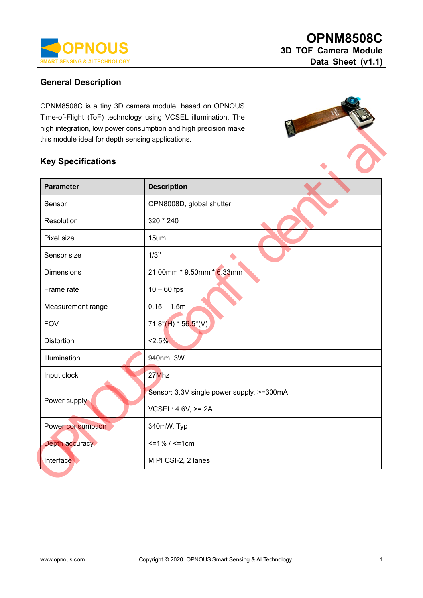

#### **General Description**

OPNM8508C is a tiny 3D camera module, based on OPNOUS Time-of-Flight (ToF) technology using VCSEL illumination. The high integration, low power consumption and high precision make this module ideal for depth sensing applications.

### **Key Specifications**

| <b>Parameter</b>  | <b>Description</b>                        |  |  |
|-------------------|-------------------------------------------|--|--|
| Sensor            | OPN8008D, global shutter                  |  |  |
| Resolution        | 320 * 240                                 |  |  |
| Pixel size        | 15um                                      |  |  |
| Sensor size       | $1/3$ "                                   |  |  |
| <b>Dimensions</b> | 21.00mm * 9.50mm * 6.33mm                 |  |  |
| Frame rate        | $10 - 60$ fps                             |  |  |
| Measurement range | $0.15 - 1.5m$                             |  |  |
| <b>FOV</b>        | $71.8^{\circ}$ (H) * 56.5°(V)             |  |  |
| <b>Distortion</b> | 2.5%                                      |  |  |
| Illumination      | 940nm, 3W                                 |  |  |
| Input clock       | 27Mhz                                     |  |  |
|                   | Sensor: 3.3V single power supply, >=300mA |  |  |
| Power supply      | VCSEL: 4.6V, >= 2A                        |  |  |
| Power consumption | 340mW. Typ                                |  |  |
| Depth accuracy    | $\leq$ 1% / $\leq$ 1cm                    |  |  |
| Interface         | MIPI CSI-2, 2 lanes                       |  |  |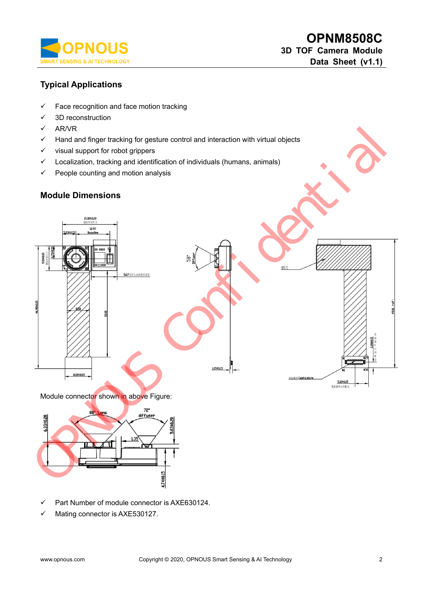

## **Typical Applications**

- $\checkmark$  Face recognition and face motion tracking
- $\checkmark$  3D reconstruction
- $\times$  AR/VR
- $\checkmark$  Hand and finger tracking for gesture control and interaction with virtual objects
- $\checkmark$  visual support for robot grippers
- $\checkmark$  Localization, tracking and identification of individuals (humans, animals)
- $\checkmark$  People counting and motion analysis

### **Module Dimensions**



Part Number of module connector is AXE630124.

 $\checkmark$  Mating connector is AXE530127.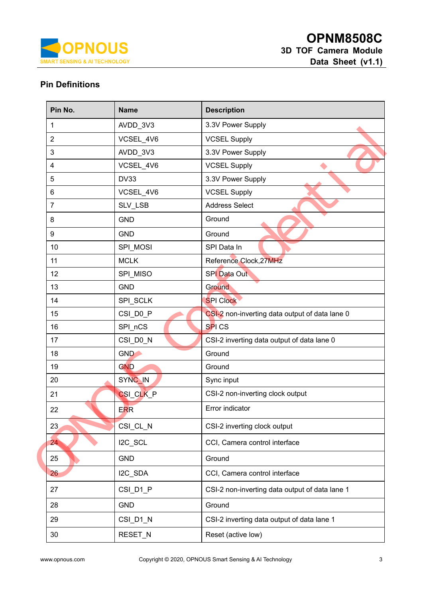

# **Pin Definitions**

| Pin No.                 | <b>Name</b>        | <b>Description</b>                             |
|-------------------------|--------------------|------------------------------------------------|
| 1                       | AVDD_3V3           | 3.3V Power Supply                              |
| $\overline{2}$          | VCSEL_4V6          | <b>VCSEL Supply</b>                            |
| $\mathbf{3}$            | AVDD_3V3           | 3.3V Power Supply                              |
| $\overline{\mathbf{4}}$ | VCSEL_4V6          | <b>VCSEL Supply</b>                            |
| 5                       | <b>DV33</b>        | 3.3V Power Supply                              |
| $6\phantom{1}$          | VCSEL_4V6          | <b>VCSEL Supply</b>                            |
| $\overline{7}$          | SLV_LSB            | <b>Address Select</b>                          |
| 8                       | <b>GND</b>         | Ground                                         |
| $\boldsymbol{9}$        | <b>GND</b>         | Ground                                         |
| 10                      | SPI_MOSI           | SPI Data In                                    |
| 11                      | <b>MCLK</b>        | Reference Clock, 27MHz                         |
| 12                      | SPI_MISO           | <b>SPI</b> Data Out                            |
| 13                      | <b>GND</b>         | Ground                                         |
| 14                      | SPI_SCLK           | <b>SPI Clock</b>                               |
| 15                      | CSI_D0_P           | CSI-2 non-inverting data output of data lane 0 |
| 16                      | SPI_nCS            | SPI <sub>CS</sub>                              |
| 17                      | CSI_D0_N           | CSI-2 inverting data output of data lane 0     |
| 18                      | <b>GND</b>         | Ground                                         |
| 19                      | <b>GND</b>         | Ground                                         |
| 20                      | SYNC <sub>IN</sub> | Sync input                                     |
| 21                      | CSI_CLK_P          | CSI-2 non-inverting clock output               |
| 22                      | <b>ERR</b>         | Error indicator                                |
| 23                      | CSI_CL_N           | CSI-2 inverting clock output                   |
| 24                      | I2C_SCL            | CCI, Camera control interface                  |
| 25                      | <b>GND</b>         | Ground                                         |
| 26                      | I2C_SDA            | CCI, Camera control interface                  |
| 27                      | CSI_D1_P           | CSI-2 non-inverting data output of data lane 1 |
| 28                      | <b>GND</b>         | Ground                                         |
| 29                      | CSI_D1_N           | CSI-2 inverting data output of data lane 1     |
| 30                      | RESET_N            | Reset (active low)                             |
|                         |                    |                                                |